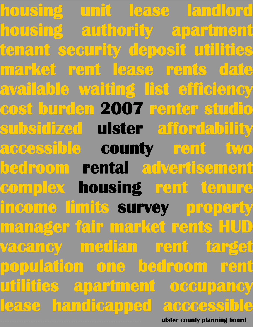**housing unit lease landlord housing authority apartment tenant security deposit utilities market rent lease rents date available waiting list efficiency cost burden 2007 renter studio subsidized ulster affordability accessible county rent two bedroom rental advertisement complex housing rent tenure income limits survey property manager fair market rents HUD vacancy median rent target population one bedroom rent utilities apartment occupancy lease handicapped acccessible**

**…………………………………………………… ulster county planning board**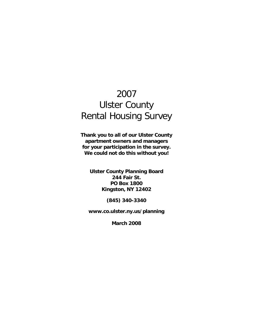# 2007 Ulster County Rental Housing Survey

**Thank you to all of our Ulster County apartment owners and managers for your participation in the survey. We could not do this without you!** 

**Ulster County Planning Board 244 Fair St. PO Box 1800 Kingston, NY 12402** 

**(845) 340-3340** 

**www.co.ulster.ny.us/planning** 

**March 2008**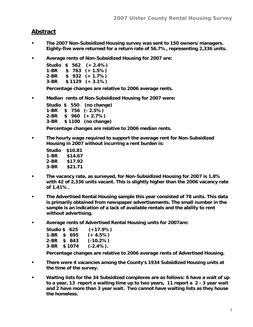#### **Abstract**

- **The 2007 Non-Subsidized Housing survey was sent to 150 owners/managers. Eighty-five were returned for a return rate of 56.7%, representing 2,336 units.**
- **Average rents of Non-Subsidized Housing for 2007 are:**

|        |  | Studio $$562 (+ 2.4%)$ |
|--------|--|------------------------|
| 1-BR   |  | $$763 (+ 1.5%)$        |
| 2-BR   |  | $$932 (+ 1.7%)$        |
| $3-BR$ |  | $$1129$ (+ 3.1%)       |

**Percentage changes are relative to 2006 average rents.** 

**• Median rents of Non-Subsidized Housing for 2007 were:** 

**Studio \$ 550 (no change) 1-BR \$ 756 (- 2.5%) 2-BR \$ 960 (+ 2.7%) 3-BR \$ 1100 (no change) Percentage changes are relative to 2006 median rents.** 

**• The hourly wage required to support the average rent for Non-Subsidized Housing in 2007 without incurring a rent burden is:** 

| Studio | \$10.81 |
|--------|---------|
| 1-BR   | \$14.67 |
| 2-BR   | \$17.92 |
| 3-BR   | \$21.71 |

- **The vacancy rate, as surveyed, for Non-Subsidized Housing for 2007 is 1.8% with 42 of 2,336 units vacant. This is slightly higher than the 2006 vacancy rate of 1.41%.**
- **The Advertised Rental Housing sample this year consisted of 78 units. This data is primarily obtained from newspaper advertisements. The small number in the sample is an indication of a lack of available rentals and the ability to rent without advertising.**
- **Average rents of Advertised Rental Housing units for 2007are:**

| Studio \$625 |         | $(+17.9%)$   |
|--------------|---------|--------------|
| 1-BR \$ 695  |         | $(+ 4.5%)$   |
| 2-BR \$ 843  |         | $(-10.2%)$   |
| 3-BR         | \$ 1074 | $(-2.4\%)$ . |

**Percentage changes are relative to 2006 average rents of Advertised Housing.** 

- **There were 4 vacancies among the County's 1934 Subsidized Housing units at the time of the survey.**
- **Waiting lists for the 34 Subsidized complexes are as follows: 6 have a wait of up to a year, 13 report a waiting time up to two years, 11 report a 2 - 3 year wait and 2 have more than 3 year wait. Two cannot have waiting lists as they house the homeless.**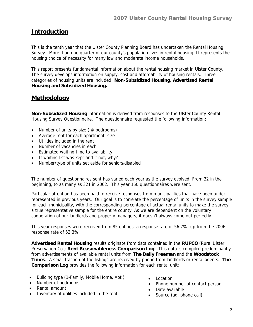## **Introduction**

This is the tenth year that the Ulster County Planning Board has undertaken the Rental Housing Survey. More than one quarter of our county's population lives in rental housing. It represents the housing choice of necessity for many low and moderate income households.

This report presents fundamental information about the rental housing market in Ulster County. The survey develops information on supply, cost and affordability of housing rentals. Three categories of housing units are included: **Non-Subsidized Housing, Advertised Rental Housing and Subsidized Housing.** 

#### **Methodology**

**Non-Subsidized Housing** information is derived from responses to the Ulster County Rental Housing Survey Questionnaire. The questionnaire requested the following information:

- Number of units by size ( $#$  bedrooms)
- Average rent for each apartment size
- Utilities included in the rent
- Number of vacancies in each
- Estimated waiting time to availability
- If waiting list was kept and if not, why?
- Number/type of units set aside for seniors/disabled

The number of questionnaires sent has varied each year as the survey evolved. From 32 in the beginning, to as many as 321 in 2002. This year 150 questionnaires were sent.

Particular attention has been paid to receive responses from municipalities that have been underrepresented in previous years. Our goal is to correlate the percentage of units in the survey sample for each municipality, with the corresponding percentage of actual rental units to make the survey a true representative sample for the entire county. As we are dependent on the voluntary cooperation of our landlords and property managers, it doesn't always come out perfectly.

This year responses were received from 85 entities, a response rate of 56.7%, up from the 2006 response rate of 53.3%

**Advertised Rental Housing** results originate from data contained in the **RUPCO** (Rural Ulster Preservation Co.) **Rent Reasonableness Comparison Log**. This data is compiled predominantly from advertisements of available rental units from **The Daily Freeman** and the **Woodstock Times**. A small fraction of the listings are received by phone from landlords or rental agents. **The Comparison Log** provides the following information for each rental unit:

- Building type (1-Family, Mobile Home, Apt.)
- Number of bedrooms
- Rental amount
- Inventory of utilities included in the rent
- Location
- Phone number of contact person
- Date available
- Source (ad, phone call)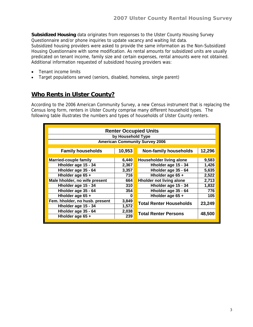**Subsidized Housing** data originates from responses to the Ulster County Housing Survey Questionnaire and/or phone inquiries to update vacancy and waiting list data.

Subsidized housing providers were asked to provide the same information as the Non-Subsidized Housing Questionnaire with some modification. As rental amounts for subsidized units are usually predicated on tenant income, family size and certain expenses, rental amounts were not obtained. Additional information requested of subsidized housing providers was:

- Tenant income limits
- Target populations served (seniors, disabled, homeless, single parent)

## **Who Rents in Ulster County?**

According to the 2006 American Community Survey, a new Census instrument that is replacing the Census long form, renters in Ulster County comprise many different household types. The following table illustrates the numbers and types of households of Ulster County renters.

| <b>Renter Occupied Units</b>          |        |                                 |        |  |  |  |  |  |  |
|---------------------------------------|--------|---------------------------------|--------|--|--|--|--|--|--|
|                                       |        |                                 |        |  |  |  |  |  |  |
| by Household Type                     |        |                                 |        |  |  |  |  |  |  |
| <b>American Community Survey 2006</b> |        |                                 |        |  |  |  |  |  |  |
|                                       |        |                                 |        |  |  |  |  |  |  |
| <b>Family households</b>              | 10,953 | <b>Non-family households</b>    | 12,296 |  |  |  |  |  |  |
|                                       |        |                                 |        |  |  |  |  |  |  |
| <b>Married-couple family</b>          | 6,440  | Householder living alone        | 9,583  |  |  |  |  |  |  |
| Hholder age 15 - 34                   | 2,367  | Hholder age 15 - 34             | 1,426  |  |  |  |  |  |  |
| Hholder age 35 - 64                   | 3,357  | Hholder age 35 - 64             | 5,635  |  |  |  |  |  |  |
| Hholder age 65 +                      | 716    | Hholder age 65 +                | 2,522  |  |  |  |  |  |  |
| Male hholder, no wife present         | 664    | <b>Hholder not living alone</b> | 2,713  |  |  |  |  |  |  |
| Hholder age 15 - 34                   | 310    | Hholder age 15 - 34             | 1,832  |  |  |  |  |  |  |
| Hholder age 35 - 64                   | 354    | Hholder age 35 - 64             | 776    |  |  |  |  |  |  |
| Hholder age 65 +                      | U      | Hholder age 65 +                | 105    |  |  |  |  |  |  |
| Fem. hholder, no husb. present        | 3,849  | <b>Total Renter Households</b>  | 23,249 |  |  |  |  |  |  |
| Hholder age 15 - 34                   | 1,572  |                                 |        |  |  |  |  |  |  |
| Hholder age 35 - 64                   | 2,038  | <b>Total Renter Persons</b>     |        |  |  |  |  |  |  |
| Hholder age 65 +                      | 239    |                                 | 48,500 |  |  |  |  |  |  |
|                                       |        |                                 |        |  |  |  |  |  |  |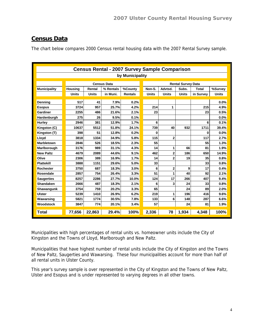# **Census Data**

The chart below compares 2000 Census rental housing data with the 2007 Rental Survey sample.

|                     | <b>Census Rental - 2007 Survey Sample Comparison</b> |              |                    |                |              |                         |                           |           |              |  |  |  |  |
|---------------------|------------------------------------------------------|--------------|--------------------|----------------|--------------|-------------------------|---------------------------|-----------|--------------|--|--|--|--|
|                     | by Municipality                                      |              |                    |                |              |                         |                           |           |              |  |  |  |  |
|                     |                                                      |              | <b>Census Data</b> |                |              |                         | <b>Rental Survey Data</b> |           |              |  |  |  |  |
| <b>Municipality</b> | <b>Housing</b>                                       | Rental       | % Rentals          | %County        | Non-S.       | Advtsd.                 | Subs.                     | Total     | %Survey      |  |  |  |  |
|                     | <b>Units</b>                                         | <b>Units</b> | in Muni.           | <b>Rentals</b> | <b>Units</b> | Units                   | <b>Units</b>              | in Survey | <b>Units</b> |  |  |  |  |
|                     |                                                      |              |                    |                |              |                         |                           |           |              |  |  |  |  |
| <b>Denning</b>      | 517                                                  | 41           | 7.9%               | 0.2%           |              |                         |                           |           | 0.0%         |  |  |  |  |
| <b>Esopus</b>       | 3724                                                 | 957          | 25.7%              | 4.2%           | 214          | 1                       |                           | 215       | 4.9%         |  |  |  |  |
| Gardiner            | 2255                                                 | 486          | 21.6%              | 2.1%           | 23           |                         |                           | 23        | 0.5%         |  |  |  |  |
| Hardenburgh         | 275                                                  | 26           | 9.5%               | 0.1%           |              |                         |                           |           | 0.0%         |  |  |  |  |
| Hurley              | 2946                                                 | 381          | 12.9%              | 1.7%           | 6            |                         |                           | 6         | 0.1%         |  |  |  |  |
| Kingston (C)        | 10637                                                | 5512         | 51.8%              | 24.1%          | 739          | 40                      | 932                       | 1711      | 39.4%        |  |  |  |  |
| Kingston (T)        | 398                                                  | 51           | 12.8%              | 0.2%           | 0            |                         |                           | 0         | 0.0%         |  |  |  |  |
| Lloyd               | 3818                                                 | 1334         | 34.9%              | 5.8%           | 115          | 2                       |                           | 117       | 2.7%         |  |  |  |  |
| <b>Marbletown</b>   | 2846                                                 | 526          | 18.5%              | 2.3%           | 55           |                         |                           | 55        | 1.3%         |  |  |  |  |
| Marlborough         | 3176                                                 | 989          | 31.1%              | 4.3%           | 14           | 1                       | 66                        | 81        | 1.9%         |  |  |  |  |
| <b>New Paltz</b>    | 4679                                                 | 2089         | 44.6%              | 9.1%           | 462          | $\overline{\mathbf{c}}$ | 186                       | 650       | 14.9%        |  |  |  |  |
| Olive               | 2306                                                 | 389          | 16.9%              | 1.7%           | 14           | $\overline{2}$          | 19                        | 35        | 0.8%         |  |  |  |  |
| <b>Plattekill</b>   | 3888                                                 | 1151         | 29.6%              | 5.0%           | 33           |                         |                           | 33        | 0.8%         |  |  |  |  |
| <b>Rochester</b>    | 3750                                                 | 687          | 18.3%              | $3.0\%$        | 6            | 2                       | 9                         | 17        | 0.4%         |  |  |  |  |
| Rosendale           | 2857                                                 | 754          | 26.4%              | 3.3%           | 51           | 1                       | 40                        | 92        | 2.1%         |  |  |  |  |
| <b>Saugerties</b>   | 8257                                                 | 2286         | 27.7%              | 10.0%          | 124          | 17                      | 266                       | 407       | 9.4%         |  |  |  |  |
| <b>Shandaken</b>    | 2666                                                 | 487          | 18.3%              | 2.1%           | 6            | 3                       | 24                        | 33        | 0.8%         |  |  |  |  |
| Shawangunk          | 3754                                                 | 759          | 20.2%              | 3.3%           | 65           |                         | 24                        | 89        | 2.0%         |  |  |  |  |
| Ulster              | 5239                                                 | 1410         | 26.9%              | 6.2%           | 219          | 1                       | 196                       | 416       | 9.6%         |  |  |  |  |
| Wawarsing           | 5821                                                 | 1774         | 30.5%              | 7.8%           | 133          | 6                       | 148                       | 287       | 6.6%         |  |  |  |  |
| <b>Woodstock</b>    | 3847                                                 | 774          | 20.1%              | 3.4%           | 57           |                         | 24                        | 81        | 1.9%         |  |  |  |  |
| <b>Total</b>        | 77,656                                               | 22,863       | 29.4%              | 100%           | 2,336        | 78                      | 1,934                     | 4,348     | 100%         |  |  |  |  |

Municipalities with high percentages of rental units vs. homeowner units include the City of Kingston and the Towns of Lloyd, Marlborough and New Paltz.

Municipalities that have highest number of rental units include the City of Kingston and the Towns of New Paltz, Saugerties and Wawarsing. These four municipalities account for more than half of all rental units in Ulster County.

This year's survey sample is over represented in the City of Kingston and the Towns of New Paltz, Ulster and Esopus and is under represented to varying degrees in all other towns.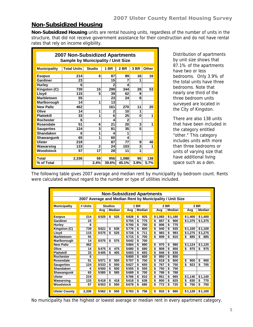#### **Non-Subsidized Housing**

**Non-Subsidized Housing** units are rental housing units, regardless of the number of units in the structure, that did not receive government assistance for their construction and do not have rental rates that rely on income eligibility.

| <b>2007 Non-Subsidized Apartments</b><br><b>Sample by Municipality / Unit Size</b> |                    |                |                |                |      |       |  |  |  |  |  |
|------------------------------------------------------------------------------------|--------------------|----------------|----------------|----------------|------|-------|--|--|--|--|--|
| <b>Municipality</b>                                                                | <b>Total Units</b> | Studio         | 1 BR           | <b>2 BR</b>    | 3 BR | Other |  |  |  |  |  |
|                                                                                    |                    |                |                |                |      |       |  |  |  |  |  |
| <b>Esopus</b>                                                                      | 214                | 6              | 87             | 89             | 16   | 16    |  |  |  |  |  |
| Gardiner                                                                           | 23                 |                | 15             | 7              | 1    |       |  |  |  |  |  |
| <b>Hurley</b>                                                                      | 6                  |                | $\overline{2}$ | 4              |      |       |  |  |  |  |  |
| Kingston (C)                                                                       | 739                | 15             | 299            | 344            | 28   | 53    |  |  |  |  |  |
| Lloyd                                                                              | 115                | 5              | 39             | 62             | 9    |       |  |  |  |  |  |
| <b>Marbletown</b>                                                                  | 55                 |                | 23             | 24             | 8    |       |  |  |  |  |  |
| Marlborough                                                                        | 14                 | 1              | 13             |                |      |       |  |  |  |  |  |
| <b>New Paltz</b>                                                                   | 462                |                | 161            | 270            | 11   | 20    |  |  |  |  |  |
| Olive                                                                              | 14                 | 1              | 2              | 10             | 1    |       |  |  |  |  |  |
| <b>Plattekill</b>                                                                  | 33                 | 1              | 6              | 25             | 0    | 1     |  |  |  |  |  |
| Rochester                                                                          | 6                  |                | 4              | $\overline{2}$ |      |       |  |  |  |  |  |
| Rosendale                                                                          | 51                 | 6              | 21             | 20             | 3    | 1     |  |  |  |  |  |
| <b>Saugerties</b>                                                                  | 124                | 3              | 81             | 35             | 5    |       |  |  |  |  |  |
| <b>Shandaken</b>                                                                   | 6                  | 1              | Δ              | 1              |      |       |  |  |  |  |  |
| Shawangunk                                                                         | 65                 | 1              | 60             | 4              |      |       |  |  |  |  |  |
| <b>Ulster</b>                                                                      | 219                |                | 87             | 77             | 9    | 46    |  |  |  |  |  |
| Wawarsing                                                                          | 133                | $\overline{2}$ | 24             | 103            | 3    | 1     |  |  |  |  |  |
| Woodstock                                                                          | 57                 | 17             | 28             | 11             | 1    |       |  |  |  |  |  |
|                                                                                    |                    |                |                |                |      |       |  |  |  |  |  |
| Total                                                                              | 2,336              | 59             | 956            | 1,088          | 95   | 138   |  |  |  |  |  |
| % of Total                                                                         |                    | 2.4%           | 39.6%          | 45.1%          | 3.9% | 5.7%  |  |  |  |  |  |

Distribution of apartments by unit size shows that 87.1% of the apartments have two or less bedrooms. Only 3.9% of the total units have three bedrooms. Note that nearly one third of the three bedroom units surveyed are located in the City of Kingston.

There are also 138 units that have been included in the category entitled "other." This category includes units with more than three bedrooms or units of varying size that have additional living space such as a den.

The following table gives 2007 average and median rent by municipality by bedroom count. Rents were calculated without regard to the number or type of utilities included.

|                                                          | <b>Non-Subsidized Apartments</b> |       |                |       |             |           |               |           |           |  |  |  |
|----------------------------------------------------------|----------------------------------|-------|----------------|-------|-------------|-----------|---------------|-----------|-----------|--|--|--|
|                                                          |                                  |       |                |       |             |           |               |           |           |  |  |  |
| 2007 Average and Median Rent by Municipality / Unit Size |                                  |       |                |       |             |           |               |           |           |  |  |  |
| <b>Municipality</b>                                      | # Units                          |       | <b>Studios</b> |       | <b>1 BR</b> |           | 2 BR          |           | 3 BR      |  |  |  |
|                                                          |                                  | Avg   | Median         | Avg   | Median      | Avg       | <b>Median</b> | Avg       | Median    |  |  |  |
|                                                          |                                  |       |                |       |             |           |               |           |           |  |  |  |
| <b>Esopus</b>                                            | 214                              | \$525 | 525<br>\$      | \$826 | \$<br>925   | \$1,083   | \$1,180       | \$1,400   | \$1,400   |  |  |  |
| Gardiner                                                 | 23                               |       |                | \$755 | \$<br>775   | \$<br>857 | \$<br>900     | \$1,375   | \$1,375   |  |  |  |
| <b>Hurley</b>                                            | 6                                |       |                | \$700 | 700<br>\$   | \$<br>806 | 775<br>\$     |           |           |  |  |  |
| Kingston (C)                                             | 739                              | \$621 | \$<br>635      | \$776 | \$<br>800   | \$<br>940 | \$<br>935     | \$1,100   | \$1,100   |  |  |  |
| Llovd                                                    | 115                              | \$575 | 525<br>\$      | \$726 | 711<br>\$   | \$<br>983 | \$<br>993     | \$1.275   | \$1,275   |  |  |  |
| Marbletown                                               | 55                               |       |                | \$715 | \$<br>700   | \$<br>809 | \$<br>810     | \$<br>885 | \$<br>885 |  |  |  |
| Marlborough                                              | 14                               | \$575 | \$<br>575      | \$642 | \$<br>700   |           |               |           |           |  |  |  |
| <b>New Paltz</b>                                         | 462                              |       |                | \$884 | \$<br>880   | \$<br>970 | \$<br>980     | \$1,124   | \$1,125   |  |  |  |
| Olive                                                    | 14                               | \$475 | \$<br>475      | \$680 | \$<br>680   | \$<br>809 | \$<br>850     | \$<br>975 | \$<br>975 |  |  |  |
| <b>Plattekill</b>                                        | 33                               | \$405 | \$<br>405      | \$693 | £.<br>693   | \$<br>846 | \$<br>830     |           |           |  |  |  |
| Rochester                                                | 6                                |       |                | \$600 | \$<br>600   | \$<br>850 | \$<br>850     |           |           |  |  |  |
| Rosendale                                                | 51                               | \$571 | \$<br>500      | \$707 | \$<br>700   | \$<br>818 | \$<br>800     | \$<br>900 | \$<br>900 |  |  |  |
| <b>Saugerties</b>                                        | 124                              | \$533 | 550<br>\$      | \$627 | \$<br>650   | \$<br>767 | \$<br>750     | \$<br>923 | \$<br>705 |  |  |  |
| <b>Shandaken</b>                                         | 6                                | \$500 | \$<br>500      | \$555 | \$<br>555   | \$<br>750 | \$<br>750     |           |           |  |  |  |
| Shawangunk                                               | 65                               | \$585 | \$<br>585      | \$689 | \$<br>700   | \$<br>788 | \$<br>788     |           |           |  |  |  |
| Ulster                                                   | 219                              |       |                | \$766 | \$<br>810   | \$<br>951 | \$<br>965     | \$1,140   | \$1,140   |  |  |  |
| Wawarsing                                                | 133                              | \$418 | 418<br>\$      | \$618 | \$<br>638   | \$<br>800 | \$<br>825     | \$<br>830 | \$<br>770 |  |  |  |
| Woodstock                                                | 57                               | \$553 | \$<br>550      | \$678 | \$<br>685   | \$<br>772 | \$<br>725     | \$<br>750 | \$<br>750 |  |  |  |
|                                                          |                                  |       |                |       |             |           |               |           |           |  |  |  |
| <b>Ulster County</b>                                     | 2,336                            | \$562 | 550<br>\$      | \$763 | 756<br>\$   | \$<br>932 | 960<br>\$     | \$1,129   | \$1,100   |  |  |  |
|                                                          |                                  |       |                |       |             |           |               |           |           |  |  |  |

No municipality has the highest or lowest average or median rent in every apartment category.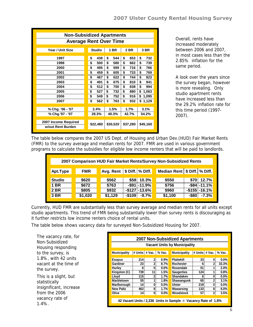| <b>Non-Subsidized Apartments</b>          |                               |          |             |          |  |  |  |  |  |  |  |  |
|-------------------------------------------|-------------------------------|----------|-------------|----------|--|--|--|--|--|--|--|--|
|                                           | <b>Average Rent Over Time</b> |          |             |          |  |  |  |  |  |  |  |  |
| Year / Unit Size                          | <b>Studio</b>                 | 1 BR     | <b>2 BR</b> | 3 BR     |  |  |  |  |  |  |  |  |
| 1997                                      | 438                           | \$       | \$          | \$       |  |  |  |  |  |  |  |  |
|                                           | \$                            | 544      | 653         | 732      |  |  |  |  |  |  |  |  |
| 1998                                      | \$                            | \$       | \$          | \$       |  |  |  |  |  |  |  |  |
|                                           | 500                           | 580      | 662         | 739      |  |  |  |  |  |  |  |  |
| 2000                                      | \$                            | \$       | \$          | \$       |  |  |  |  |  |  |  |  |
|                                           | 495                           | 599      | 716         | 766      |  |  |  |  |  |  |  |  |
| 2001                                      | \$                            | \$       | \$          | \$       |  |  |  |  |  |  |  |  |
|                                           | 459                           | 605      | 733         | 769      |  |  |  |  |  |  |  |  |
| 2002                                      | \$                            | \$       | \$          | \$       |  |  |  |  |  |  |  |  |
|                                           | 467                           | 622      | 744         | 823      |  |  |  |  |  |  |  |  |
| 2003                                      | \$                            | \$       | \$          | \$       |  |  |  |  |  |  |  |  |
|                                           | 491                           | 675      | 810         | 941      |  |  |  |  |  |  |  |  |
| 2004                                      | \$                            | \$       | \$          | \$       |  |  |  |  |  |  |  |  |
|                                           | 512                           | 700      | 838         | 994      |  |  |  |  |  |  |  |  |
| 2005                                      | \$                            | \$       | \$          | \$       |  |  |  |  |  |  |  |  |
|                                           | 527                           | 732      | 880         | 1,063    |  |  |  |  |  |  |  |  |
| 2006                                      | \$                            | \$       | \$          | \$       |  |  |  |  |  |  |  |  |
|                                           | 549                           | 752      | 916         | 1,095    |  |  |  |  |  |  |  |  |
| 2007                                      | \$                            | \$       | \$          | \$       |  |  |  |  |  |  |  |  |
|                                           | 562                           | 763      | 932         | 1,129    |  |  |  |  |  |  |  |  |
|                                           |                               |          |             |          |  |  |  |  |  |  |  |  |
| % Chg. '06 - '07                          | 2.4%                          | 1.5%     | 1.7%        | 3.1%     |  |  |  |  |  |  |  |  |
| % Chg.'97 - '07                           | 28.3%                         | 40.3%    | 42.7%       | 54.2%    |  |  |  |  |  |  |  |  |
| 2007 Income Required<br>w/out Rent Burden | \$22,480                      | \$30,520 | \$37,280    | \$45,160 |  |  |  |  |  |  |  |  |
|                                           |                               |          |             |          |  |  |  |  |  |  |  |  |

**Overall, rents have** increased moderately between 2006 and 2007, in most cases less than the 2.85% inflation for the same period.

A look over the years since the survey began, however is more revealing. Only studio apartment rents have increased less than the 29.2% inflation rate for this time period (1997- 2007).

The table below compares the 2007 US Dept. of Housing and Urban Dev.(HUD) Fair Market Rents (FMR) to the survey average and median rents for 2007. FMR are used in various government programs to calculate the subsidies for eligible low income renters that will be paid to landlords.

|               | 2007 Comparison HUD Fair Market Rents/Survey Non-Subsidized Rents |            |  |                                    |         |                    |  |                                  |          |                     |  |
|---------------|-------------------------------------------------------------------|------------|--|------------------------------------|---------|--------------------|--|----------------------------------|----------|---------------------|--|
|               |                                                                   |            |  |                                    |         |                    |  |                                  |          |                     |  |
| Apt.Type      |                                                                   | <b>FMR</b> |  | Avg. Rent $\vert$ \$ Diff. % Diff. |         |                    |  | Median Rent   \$ Diff.   % Diff. |          |                     |  |
|               |                                                                   |            |  |                                    |         |                    |  |                                  |          |                     |  |
| <b>Studio</b> |                                                                   | \$620      |  | \$562                              | \$58    | $10.3\%$           |  | \$550                            | \$70     | 12.7%               |  |
|               |                                                                   |            |  |                                    |         |                    |  |                                  |          |                     |  |
| <b>1 BR</b>   |                                                                   | \$672      |  | \$763                              |         | $-$ \$91 $-$ 11.9% |  | \$756                            |          | $-$ \$84 $-$ 11.1%  |  |
| <b>2 BR</b>   |                                                                   | \$805      |  | \$932                              |         | $-$127$ $-13.6\%$  |  | \$960                            |          | $-$ \$155 $-$ 16.1% |  |
| <b>3 BR</b>   |                                                                   | \$1,020    |  | \$1,129                            | $-$109$ | $-9.7\%$           |  | \$1,100                          | $-$ \$80 | $-7.3%$             |  |
|               |                                                                   |            |  |                                    |         |                    |  |                                  |          |                     |  |

Currently, HUD FMR are substantially less than survey average and median rents for all units except studio apartments. This trend of FMR being substantially lower than survey rents is discouraging as it further restricts low income renters choice of rental units.

The table below shows vacancy data for surveyed Non-Subsidized Housing for 2007.

The vacancy rate, for Non-Subsidized Housing responding to the survey, is 1.8%, with 42 units vacant at the time of the survey. This is a slight, but

statistically insignificant, increase from the 2006 vacancy rate of 1.4%.

| <b>2007 Non-Subsidized Apartments</b> |     |                |                                        |                                                                |     |                |                           |  |  |  |  |
|---------------------------------------|-----|----------------|----------------------------------------|----------------------------------------------------------------|-----|----------------|---------------------------|--|--|--|--|
| <b>Vacant Units by Municipality</b>   |     |                |                                        |                                                                |     |                |                           |  |  |  |  |
| <b>Municipality</b>                   |     |                | # Units $\vert$ # Vac. $\vert \%$ Vac. | <b>Municipality</b>                                            |     |                | # Units   # Vac.   % Vac. |  |  |  |  |
| <b>Esopus</b>                         | 214 | 2              | 0.9%                                   | <b>Plattekill</b>                                              | 33  | 0              | 0.0%                      |  |  |  |  |
| Gardiner                              | 23  | $\overline{2}$ | 8.7%                                   | Rochester                                                      | 6   | $\overline{2}$ | 33.3%                     |  |  |  |  |
| Hurley                                | 6   | 0              | 0.0%                                   | Rosendale                                                      | 51  |                | 2.0%                      |  |  |  |  |
| Kingston (C)                          | 739 | 11             | 1.5%                                   | <b>Saugerties</b>                                              | 124 | 1              | 0.8%                      |  |  |  |  |
| Lloyd                                 | 115 | $\overline{2}$ | 1.7%                                   | Shandaken                                                      | 6   | 0              | $0.0\%$                   |  |  |  |  |
| <b>Marbletown</b>                     | 55  |                | 1.8%                                   | Shawangunk                                                     | 65  | 2              | 3.1%                      |  |  |  |  |
| Marlborough                           | 14  | 0              | $0.0\%$                                | <b>Ulster</b>                                                  | 219 | 0              | $0.0\%$                   |  |  |  |  |
| <b>New Paltz</b>                      | 462 | 8              | 1.7%                                   | Wawarsing                                                      | 133 | 8              | 6.0%                      |  |  |  |  |
| Olive                                 | 14  | 0              | $0.0\%$                                | Woodstock                                                      | 57  | $\overline{2}$ | 3.5%                      |  |  |  |  |
|                                       |     |                |                                        | 42 Vacant Units / 2,336 Units in Sample = Vacancy Rate of 1.8% |     |                |                           |  |  |  |  |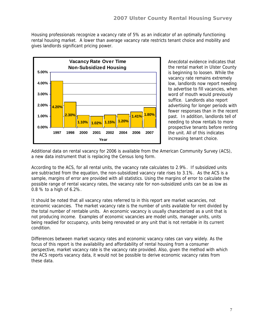Housing professionals recognize a vacancy rate of 5% as an indicator of an optimally functioning rental housing market. A lower than average vacancy rate restricts tenant choice and mobility and gives landlords significant pricing power.



Anecdotal evidence indicates that the rental market in Ulster County is beginning to loosen. While the vacancy rate remains extremely low, landlords now report needing to advertise to fill vacancies, when word of mouth would previously suffice. Landlords also report advertising for longer periods with fewer responses than in the recent past. In addition, landlords tell of needing to show rentals to more prospective tenants before renting the unit. All of this indicates increasing tenant choice.

Additional data on rental vacancy for 2006 is available from the American Community Survey (ACS), a new data instrument that is replacing the Census long form.

According to the ACS, for all rental units, the vacancy rate calculates to 2.9%. If subsidized units are subtracted from the equation, the non-subsidized vacancy rate rises to 3.1%. As the ACS is a sample, margins of error are provided with all statistics. Using the margins of error to calculate the possible range of rental vacancy rates, the vacancy rate for non-subsidized units can be as low as 0.8 % to a high of 6.2%.

It should be noted that all vacancy rates referred to in this report are market vacancies, not economic vacancies. The market vacancy rate is the number of units available for rent divided by the total number of rentable units. An economic vacancy is usually characterized as a unit that is not producing income. Examples of economic vacancies are model units, manager units, units being readied for occupancy, units being renovated or any unit that is not rentable in its current condition.

Differences between market vacancy rates and economic vacancy rates can vary widely. As the focus of this report is the availability and affordability of rental housing from a consumer perspective, market vacancy rate is the vacancy rate provided. Also, given the method with which the ACS reports vacancy data, it would not be possible to derive economic vacancy rates from these data.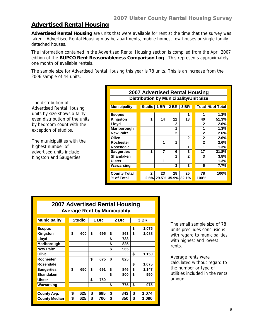### **Advertised Rental Housing**

**Advertised Rental Housing** are units that were available for rent at the time that the survey was taken. Advertised Rental Housing may be apartments, mobile homes, row houses or single family detached houses.

The information contained in the Advertised Rental Housing section is compiled from the April 2007 edition of the **RUPCO Rent Reasonableness Comparison Log**. This represents approximately one month of available rentals.

The sample size for Advertised Rental Housing this year is 78 units. This is an increase from the 2006 sample of 44 units.

The distribution of Advertised Rental Housing units by size shows a fairly even distribution of the units by bedroom count with the exception of studios.

The municipalities with the highest number of advertised units include Kingston and Saugerties.

| 2007 Advertised Rental Housing                |               |             |                |                |                |                    |  |  |  |  |  |
|-----------------------------------------------|---------------|-------------|----------------|----------------|----------------|--------------------|--|--|--|--|--|
| <b>Distribution by Municipality/Unit Size</b> |               |             |                |                |                |                    |  |  |  |  |  |
|                                               |               |             |                |                |                |                    |  |  |  |  |  |
| <b>Municipality</b>                           | <b>Studio</b> | <b>1 BR</b> | 2 BR           | 3 BR           |                | Total   % of Total |  |  |  |  |  |
| <b>Esopus</b>                                 |               |             |                | 1              | 1              | 1.3%               |  |  |  |  |  |
|                                               |               |             |                |                |                |                    |  |  |  |  |  |
| <b>Kingston</b>                               | 1             | 14          | 12             | 13             | 40             | 51.3%              |  |  |  |  |  |
| Lloyd                                         |               |             | 2              |                | 2              | 2.6%               |  |  |  |  |  |
| Marlborough                                   |               |             | 1              |                | 1              | 1.3%               |  |  |  |  |  |
| <b>New Paltz</b>                              |               |             | $\overline{2}$ |                | $\overline{2}$ | 2.6%               |  |  |  |  |  |
| Olive                                         |               |             |                | $\overline{2}$ | $\overline{2}$ | 2.6%               |  |  |  |  |  |
| <b>Rochester</b>                              |               | 1           | 1              |                | $\overline{2}$ | $2.6\%$            |  |  |  |  |  |
| Rosendale                                     |               |             |                | 1              | 1              | 1.3%               |  |  |  |  |  |
| <b>Saugerties</b>                             | 1             | 7           | 6              | 3              | 17             | 21.8%              |  |  |  |  |  |
| <b>Shandaken</b>                              |               |             | 1              | 2              | 3              | 3.8%               |  |  |  |  |  |
| <b>Ulster</b>                                 |               | 1           |                |                | 1              | 1.3%               |  |  |  |  |  |
| Wawarsing                                     |               |             | 3              | 3              | 6              | 7.7%               |  |  |  |  |  |
|                                               |               |             |                |                |                |                    |  |  |  |  |  |
| <b>County Total</b>                           | $\mathbf{2}$  | 23          | 28             | 25             | 78             | 100%               |  |  |  |  |  |
| % of Total                                    |               | 2.6% 29.5%  |                | 35.9% 32.1%    | 100%           |                    |  |  |  |  |  |

| 2007 Advertised Rental Housing      |    |                               |    |     |    |     |    |       |  |  |
|-------------------------------------|----|-------------------------------|----|-----|----|-----|----|-------|--|--|
| <b>Average Rent by Municipality</b> |    |                               |    |     |    |     |    |       |  |  |
| <b>Municipality</b>                 |    | <b>Studio</b><br>1 BR<br>2 BR |    |     |    |     |    | 3 BR  |  |  |
| <b>Esopus</b>                       |    |                               |    |     |    |     | \$ | 1,075 |  |  |
| Kingston                            | \$ | 600                           | \$ | 695 | \$ | 863 | \$ | 1,088 |  |  |
| Lloyd                               |    |                               |    |     | \$ | 738 |    |       |  |  |
| Marlborough                         |    |                               |    |     | \$ | 825 |    |       |  |  |
| <b>New Paltz</b>                    |    |                               |    |     | \$ | 965 |    |       |  |  |
| Olive                               |    |                               |    |     |    |     | \$ | 1,150 |  |  |
| Rochester                           |    |                               | \$ | 675 | \$ | 825 |    |       |  |  |
| Rosendale                           |    |                               |    |     |    |     | \$ | 1,075 |  |  |
| <b>Saugerties</b>                   | \$ | 650                           | \$ | 691 | \$ | 846 | \$ | 1,147 |  |  |
| <b>Shandaken</b>                    |    |                               |    |     | \$ | 800 | \$ | 950   |  |  |
| Ulster                              |    |                               | \$ | 750 |    |     |    |       |  |  |
| Wawarsing                           |    |                               |    |     | \$ | 775 | \$ | 975   |  |  |
|                                     |    |                               |    |     |    |     |    |       |  |  |
| <b>County Avg.</b>                  | \$ | 625                           | \$ | 695 | \$ | 843 | \$ | 1,074 |  |  |
| <b>County Median</b>                | \$ | 625                           | \$ | 700 | \$ | 850 | \$ | 1,090 |  |  |

The small sample size of 78 units precludes conclusions with regard to municipalities with highest and lowest rents.

Average rents were calculated without regard to the number or type of utilities included in the rental amount.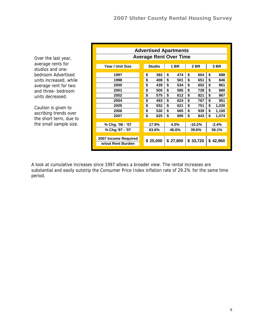Over the last year, average rents for studios and onebedroom Advertised units increased, while average rent for two and three- bedroom units decreased.

Caution is given to ascribing trends over the short term, due to the small sample size.

| <b>Advertised Apartments</b>  |    |               |                  |       |          |         |          |       |  |
|-------------------------------|----|---------------|------------------|-------|----------|---------|----------|-------|--|
| <b>Average Rent Over Time</b> |    |               |                  |       |          |         |          |       |  |
|                               |    |               |                  |       |          |         |          |       |  |
| Year / Unit Size              |    | <b>Studio</b> |                  | 1 BR  |          | 2 BR    |          | 3 BR  |  |
|                               |    |               |                  |       |          |         |          |       |  |
| 1997                          | \$ | 382           | \$               | 474   | \$       | 604     | \$       | 688   |  |
| 1998                          | \$ | 408           | \$               | 501   | \$       | 651     | \$       | 846   |  |
| 2000                          | \$ | 439           | \$               | 534   | \$       | 652     | \$       | 861   |  |
| 2001                          | \$ | 500           | \$               | 585   | \$       | 728     | \$       | 880   |  |
| 2002                          | \$ | 575           | \$               | 612   | \$       | 821     | \$       | 867   |  |
| 2004                          | \$ | 493           | \$               | 624   | \$       | 767     | \$       | 951   |  |
| 2005                          | \$ | 552           | \$               | 621   | \$       | 751     | \$       | 1,030 |  |
| 2006                          | \$ | 530           | \$               | 665   | \$       | 939     | \$       | 1,100 |  |
| 2007                          | \$ | 625           | \$               | 695   | \$       | 843     | \$       | 1,074 |  |
|                               |    |               |                  |       |          |         |          |       |  |
| % Chg. '06 - '07              |    | 17.9%         | 4.5%<br>$-10.2%$ |       |          | $-2.4%$ |          |       |  |
| % Chg.'97 - '07               |    | 63.6%         |                  | 46.6% |          | 39.6%   |          | 56.1% |  |
|                               |    |               |                  |       |          |         |          |       |  |
| 2007 Income Required          |    | \$25,000      | \$27,800         |       | \$33,720 |         |          |       |  |
| w/out Rent Burden             |    |               |                  |       |          |         | \$42,960 |       |  |
|                               |    |               |                  |       |          |         |          |       |  |

A look at cumulative increases since 1997 allows a broader view. The rental increases are substantial and easily outstrip the Consumer Price Index inflation rate of 29.2% for the same time period.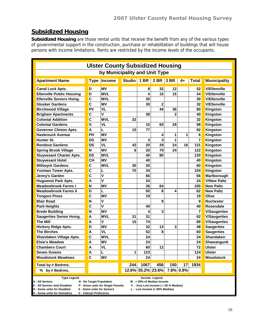# **Subsidized Housing**

**Subsidized Housing** are those rental units that receive the benefit from any of the various types of governmental support in the construction, purchase or rehabilitation of buildings that will house persons with income limitations. Rents are restricted by the income levels of the occupants.

| <b>Ulster County Subsidized Housing</b>                                                                                                                                                                                       |                           |                    |             |      |                   |                         |           |                |                     |
|-------------------------------------------------------------------------------------------------------------------------------------------------------------------------------------------------------------------------------|---------------------------|--------------------|-------------|------|-------------------|-------------------------|-----------|----------------|---------------------|
| by Municipality and Unit Type                                                                                                                                                                                                 |                           |                    |             |      |                   |                         |           |                |                     |
| <b>Apartment Name</b>                                                                                                                                                                                                         |                           | <b>Type Income</b> | Studio 1 BR |      | 2 BR              | 3 BR                    | $4+$      | <b>Total</b>   | <b>Municipality</b> |
| <b>Canal Lock Apts.</b>                                                                                                                                                                                                       | D                         | MV                 |             | 8    | 32                | 12                      |           | 52             | <b>V/Ellenville</b> |
| <b>Ellenville Public Housing</b>                                                                                                                                                                                              | D                         | <b>MVL</b>         |             | 4    | 15                | 15                      |           | 34             | <b>V/Ellenville</b> |
| <b>Ellenville Seniors Hsing.</b>                                                                                                                                                                                              | $\mathbf c$               | <b>MVL</b>         |             | 30   |                   |                         |           | 30             | <b>V/Ellenville</b> |
| <b>Glusker Gardens</b>                                                                                                                                                                                                        | $\mathbf c$               | MV                 |             | 30   | $\overline{2}$    |                         |           | 32             | <b>V/Ellenville</b> |
| <b>Birchwood Village</b>                                                                                                                                                                                                      | PV                        | <b>VL</b>          |             |      | 44                | 36                      |           | 80             | Kingston            |
| <b>Brigham Apartments</b>                                                                                                                                                                                                     | C                         | V                  |             | 38   |                   | $\overline{\mathbf{c}}$ |           | 40             | Kingston            |
| <b>Colonial Addition</b>                                                                                                                                                                                                      | $\mathbf c$               | <b>MVL</b>         | 32          |      |                   |                         |           | 32             | Kingston            |
| <b>Colonial Gardens</b>                                                                                                                                                                                                       | S                         | VL                 |             | 10   | 60                | 28                      |           | 98             | Kingston            |
| <b>Governor Clinton Apts.</b>                                                                                                                                                                                                 | A                         | L                  | 15          | 77   |                   |                         |           | 92             | Kingston            |
| <b>Hasbrouck Avenue</b>                                                                                                                                                                                                       | PH                        | <b>MV</b>          |             |      | 4                 | 1                       | 1         | 6              | Kingston            |
| Hunter St.                                                                                                                                                                                                                    | <b>DS</b>                 | <b>MV</b>          |             | 3    | 3                 | 1                       |           | $\overline{7}$ | Kingston            |
| <b>Rondout Gardens</b>                                                                                                                                                                                                        | <b>DS</b>                 | <b>VL</b>          | 42          | 20   | 29                | 24                      | 16        | 131            | Kingston            |
| <b>Spring Brook Village</b>                                                                                                                                                                                                   | N                         | <b>MV</b>          | 8           | 20   | 70                | 24                      |           | 122            | Kingston            |
| <b>Stuyvesant Charter Apts.</b>                                                                                                                                                                                               | <b>DS</b>                 | <b>MVL</b>         |             | 40   | 80                |                         |           | 120            | Kingston            |
| <b>Stuyvesant Hotel</b>                                                                                                                                                                                                       | <b>CH</b>                 | MV                 |             | 40   |                   |                         |           | 40             | Kingston            |
| <b>Wiltwyck Gardens</b>                                                                                                                                                                                                       | $\mathbf c$               | <b>MVL</b>         | 30          | 30   |                   |                         |           | 60             | Kingston            |
| <b>Yosman Tower Apts.</b>                                                                                                                                                                                                     | $\mathbf c$               |                    | 70          | 34   |                   |                         |           | 104            | Kingston            |
| Jenny's Garden                                                                                                                                                                                                                | $\mathbf c$               | V                  |             | 66   |                   |                         |           | 66             | Marlborough         |
| <b>Huguenot Park Apts.</b>                                                                                                                                                                                                    | $\overline{A}$            | V                  |             | 24   |                   |                         |           | 24             | <b>V/New Paltz</b>  |
| <b>Meadowbrook Farms I</b>                                                                                                                                                                                                    | N                         | <b>MV</b>          |             | 36   | 64                |                         |           | 100            | <b>New Paltz</b>    |
| <b>Meadowbrook Farms II</b>                                                                                                                                                                                                   | D                         |                    |             | 50   | 8                 | 4                       |           | 62             | <b>New Paltz</b>    |
| <b>Tongore Pines</b>                                                                                                                                                                                                          | $\mathbf c$               | <b>MV</b>          |             | 19   |                   |                         |           | 19             | Olive               |
| <b>Blair Road</b>                                                                                                                                                                                                             | N                         | V                  |             |      | 9                 |                         |           | 9              | <b>Rochester</b>    |
| <b>Park Heights</b>                                                                                                                                                                                                           | C                         | V                  |             | 40   |                   |                         |           | 40             | <b>Rosendale</b>    |
| <b>Brede Building</b>                                                                                                                                                                                                         | N                         | <b>MV</b>          |             | 4    | 3                 |                         |           | $\overline{7}$ | <b>V/Saugerties</b> |
| <b>Saugerties Senior Hsing.</b>                                                                                                                                                                                               | A                         | <b>MVL</b>         | 31          | 31   |                   |                         |           | 62             | <b>V/Saugerties</b> |
| <b>The Mill</b>                                                                                                                                                                                                               | A                         | V                  | 15          | 74   |                   |                         |           | 89             | <b>V/Saugerties</b> |
| <b>Hickory Ridge Apts.</b>                                                                                                                                                                                                    | D                         | <b>MV</b>          |             | 32   | 13                | 3                       |           | 48             | <b>Saugerties</b>   |
| <b>The Birches</b>                                                                                                                                                                                                            | A                         | <b>VL</b>          |             | 52   | 8                 |                         |           | 60             | <b>Saugerties</b>   |
| Shandaken Village Apts.                                                                                                                                                                                                       | C                         | <b>MVL</b>         |             | 24   |                   |                         |           | 24             | <b>Shandaken</b>    |
| <b>Elsie's Meadow</b>                                                                                                                                                                                                         | A                         | MV                 |             | 24   |                   |                         |           | 24             | Shawangunk          |
| <b>Chambers Court</b>                                                                                                                                                                                                         | Α                         | <b>VL</b>          |             | 60   | 12                |                         |           | 72             | <b>Ulster</b>       |
| <b>Seven Greens</b>                                                                                                                                                                                                           | $\boldsymbol{\mathsf{A}}$ |                    | 1           | 123  |                   |                         |           | 124            | <b>Ulster</b>       |
| <b>Woodstock Meadows</b>                                                                                                                                                                                                      | $\overline{\mathbf{c}}$   | <b>MV</b>          |             | 24   |                   |                         |           | 24             | Woodstock           |
| Total by # Bedrms.                                                                                                                                                                                                            |                           |                    | 244         | 1067 | 456               | 150                     | 17        | 1934           |                     |
| % by # Bedrms.                                                                                                                                                                                                                |                           |                    |             |      | 12.6% 55.2% 23.6% |                         | 7.8% 0.9% |                |                     |
| <b>Type Legend</b><br>Income Legend<br>N - No Target Population<br>A - All Seniors<br>M - < 30% of Median Income<br>C - All Seniors And Disabled<br>P - Some units for Single Parents<br>V - Very Low Income ( < 50 % Median) |                           |                    |             |      |                   |                         |           |                |                     |

- **D Some units for Disabled S Some units for Seniors L Low Income (< 80% Median)**
- **H Some units for Homeless V Veteran Preference** 
	-
-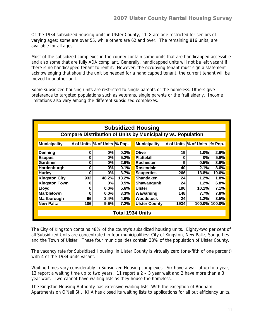Of the 1934 subsidized housing units in Ulster County, 1118 are age restricted for seniors of varying ages; some are over 55, while others are 62 and over. The remaining 816 units, are available for all ages.

Most of the subsidized complexes in the county contain some units that are handicapped accessible and also some that are fully ADA compliant. Generally, handicapped units will not be left vacant if there is no handicapped tenant to rent it. However, the occupying tenant must sign a statement acknowledging that should the unit be needed for a handicapped tenant, the current tenant will be moved to another unit.

Some subsidized housing units are restricted to single parents or the homeless. Others give preference to targeted populations such as veterans, single parents or the frail elderly. Income limitations also vary among the different subsidized complexes.

| <b>Subsidized Housing</b>                                           |     |                                    |       |                      |      |                                    |               |  |  |  |  |
|---------------------------------------------------------------------|-----|------------------------------------|-------|----------------------|------|------------------------------------|---------------|--|--|--|--|
| <b>Compare Distribution of Units by Municipality vs. Population</b> |     |                                    |       |                      |      |                                    |               |  |  |  |  |
|                                                                     |     |                                    |       |                      |      |                                    |               |  |  |  |  |
| <b>Municipality</b>                                                 |     | # of Units $\%$ of Units $\%$ Pop. |       | <b>Municipality</b>  |      | # of Units $\%$ of Units $\%$ Pop. |               |  |  |  |  |
|                                                                     |     |                                    |       |                      |      |                                    |               |  |  |  |  |
| Denning                                                             | 0   | 0%                                 | 0.3%  | Olive                | 19   | 1.0%                               | 2.6%          |  |  |  |  |
| <b>Esopus</b>                                                       | 0   | 0%                                 | 5.2%  | <b>Plattekill</b>    | 0    | 0%                                 | 5.6%          |  |  |  |  |
| Gardiner                                                            | 0   | 0%                                 | 2.9%  | <b>Rochester</b>     | 9    | 0.5%                               | 3.9%          |  |  |  |  |
| Hardenburgh                                                         | 0   | 0%                                 | 0.1%  | Rosendale            | 40   | 2.1%                               | 3.6%          |  |  |  |  |
| <b>Hurley</b>                                                       | 0   | 0%                                 | 3.7%  | <b>Saugerties</b>    | 266  | 13.8%                              | 10.6%         |  |  |  |  |
| <b>Kingston City</b>                                                | 932 | 48.2%                              | 13.2% | <b>Shandaken</b>     | 24   | 1.2%                               | 1.8%          |  |  |  |  |
| <b>Kingston Town</b>                                                | 0   | 0%                                 | 0.5%  | Shawangunk           | 24   | 1.2%                               | 6.8%          |  |  |  |  |
| Lloyd                                                               | 0   | 0.0%                               | 5.6%  | <b>Ulster</b>        | 196  | 10.1%                              | 7.1%          |  |  |  |  |
| <b>Marbletown</b>                                                   | O   | 0.0%                               | 3.3%  | Wawarsing            | 148  | 7.7%                               | 7.8%          |  |  |  |  |
| Marlborough                                                         | 66  | 3.4%                               | 4.6%  | <b>Woodstock</b>     | 24   | 1.2%                               | 3.5%          |  |  |  |  |
| <b>New Paltz</b>                                                    | 186 | 9.6%                               | 7.2%  | <b>Ulster County</b> | 1934 |                                    | 100.0% 100.0% |  |  |  |  |
|                                                                     |     |                                    |       |                      |      |                                    |               |  |  |  |  |
| <b>Total 1934 Units</b>                                             |     |                                    |       |                      |      |                                    |               |  |  |  |  |

The City of Kingston contains 48% of the county's subsidized housing units. Eighty-two per cent of all Subsidized Units are concentrated in four municipalities: City of Kingston, New Paltz, Saugerties and the Town of Ulster. These four municipalities contain 38% of the population of Ulster County.

The vacancy rate for Subsidized Housing in Ulster County is virtually zero (one-fifth of one percent) with 4 of the 1934 units vacant.

Waiting times vary considerably in Subsidized Housing complexes. Six have a wait of up to a year, 13 report a waiting time up to two years, 11 report a  $2 - 3$  year wait and 2 have more than a 3 year wait. Two cannot have waiting lists as they house the homeless.

The Kingston Housing Authority has extensive waiting lists. With the exception of Brigham Apartments on O'Neil St., KHA has closed its waiting lists to applications for all but efficiency units.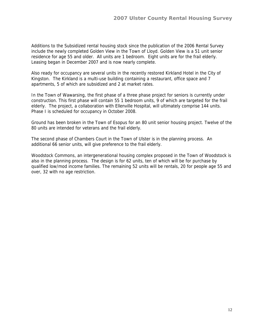Additions to the Subsidized rental housing stock since the publication of the 2006 Rental Survey include the newly completed Golden View in the Town of Lloyd. Golden View is a 51 unit senior residence for age 55 and older. All units are 1 bedroom. Eight units are for the frail elderly. Leasing began in December 2007 and is now nearly complete.

Also ready for occupancy are several units in the recently restored Kirkland Hotel in the City of Kingston. The Kirkland is a multi-use building containing a restaurant, office space and 7 apartments, 5 of which are subsidized and 2 at market rates.

In the Town of Wawarsing, the first phase of a three phase project for seniors is currently under construction. This first phase will contain 55 1 bedroom units, 9 of which are targeted for the frail elderly. The project, a collaboration with Ellenville Hospital, will ultimately comprise 144 units. Phase I is scheduled for occupancy in October 2008.

Ground has been broken in the Town of Esopus for an 80 unit senior housing project. Twelve of the 80 units are intended for veterans and the frail elderly.

The second phase of Chambers Court in the Town of Ulster is in the planning process. An additional 66 senior units, will give preference to the frail elderly.

Woodstock Commons, an intergenerational housing complex proposed in the Town of Woodstock is also in the planning process. The design is for 62 units, ten of which will be for purchase by qualified low/mod income families. The remaining 52 units will be rentals, 20 for people age 55 and over, 32 with no age restriction.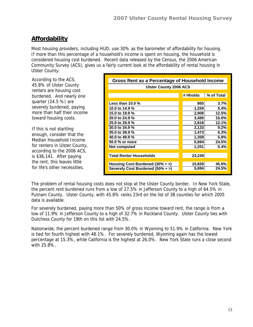# **Affordability**

Most housing providers, including HUD, use 30% as the barometer of affordability for housing. If more than this percentage of a household's income is spent on housing, the household is considered housing cost burdened. Recent data released by the Census, the 2006 American Community Survey (ACS), gives us a fairly current look at the affordability of rental housing in Ulster County.

According to the ACS, 45.8% of Ulster County renters are housing cost burdened. And nearly one quarter (24.5 %) are severely burdened, paying more than half their income toward housing costs.

If this is not startling enough, consider that the Median Household Income for renters in Ulster County, according to the 2006 ACS, is \$36,141. After paying the rent, this leaves little for life's other necessities.

| Gross Rent as a Percentage of Household Income |          |            |  |  |  |  |  |
|------------------------------------------------|----------|------------|--|--|--|--|--|
| <b>Ulster County 2006 ACS</b>                  |          |            |  |  |  |  |  |
|                                                |          |            |  |  |  |  |  |
|                                                | # Hholds | % of Total |  |  |  |  |  |
|                                                |          |            |  |  |  |  |  |
| Less than $10.0\%$                             | 865      | 3.7%       |  |  |  |  |  |
| 10.0 to 14.9 %                                 | 1,259    | 5.4%       |  |  |  |  |  |
| 15.0 to 19.9 %                                 | 2,908    | 12.5%      |  |  |  |  |  |
| 20.0 to 24.9 %                                 | 3,489    | 15.0%      |  |  |  |  |  |
| 25.0 to 29.9 %                                 | 2,818    | 12.1%      |  |  |  |  |  |
| 30.0 to 34.9 %                                 | 2,133    | 9.2%       |  |  |  |  |  |
| 35.0 to 39.9 %                                 | 1,473    | 6.3%       |  |  |  |  |  |
| 40.0 to 49.9 %                                 | 1,359    | 5.8%       |  |  |  |  |  |
| 50.0 % or more                                 | 5,694    | 24.5%      |  |  |  |  |  |
| Not computed                                   | 1,251    | 5.4%       |  |  |  |  |  |
|                                                |          |            |  |  |  |  |  |
| Total Renter Households                        | 23,249   |            |  |  |  |  |  |
|                                                |          |            |  |  |  |  |  |
| Housing Cost Burdened $(30\% + )$              | 10,659   | 45.8%      |  |  |  |  |  |
| Severely Cost Burdened (50% + >)               | 5,694    | 24.5%      |  |  |  |  |  |
|                                                |          |            |  |  |  |  |  |

The problem of rental housing costs does not stop at the Ulster County border. In New York State, the percent rent burdened runs from a low of 27.5% in Jefferson County to a high of 64.5% in Putnam County. Ulster County, with 45.8% ranks 23rd on the list of 38 counties for which 2005 data is available.

For severely burdened, paying more than 50% of gross income toward rent, the range is from a low of 11.9% in Jefferson County to a high of 32.7% in Rockland County. Ulster County ties with Dutchess County for 19th on this list with 24.5%.

Nationwide, the percent burdened range from 30.0% in Wyoming to 51.9% in California. New York is tied for fourth highest with 48.1%. For severely burdened, Wyoming again has the lowest percentage at 15.3%, while California is the highest at 26.0%. New York State runs a close second with 25.8%.